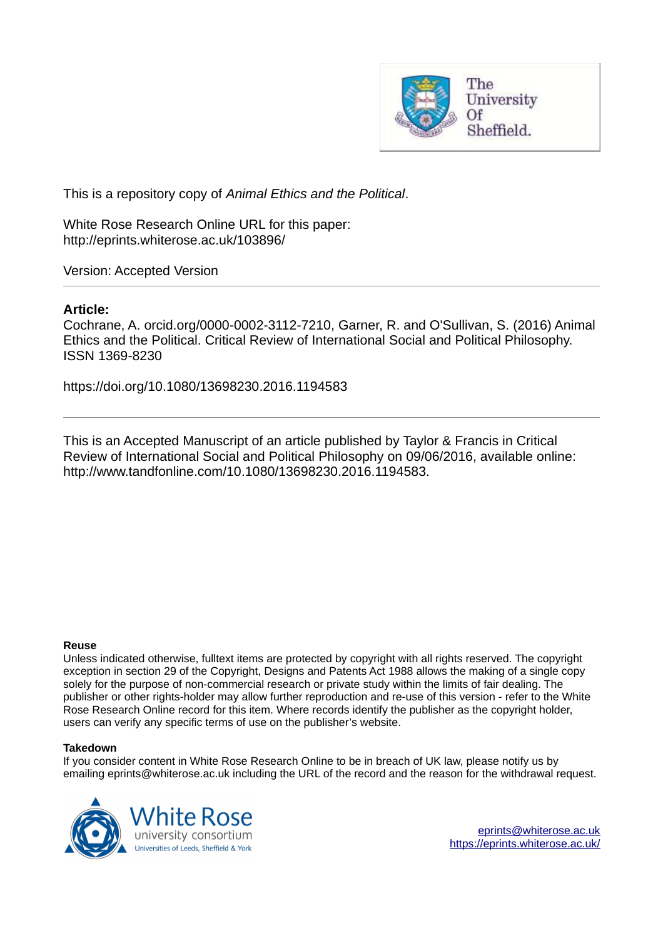

This is a repository copy of *Animal Ethics and the Political*.

White Rose Research Online URL for this paper: http://eprints.whiterose.ac.uk/103896/

Version: Accepted Version

# **Article:**

Cochrane, A. orcid.org/0000-0002-3112-7210, Garner, R. and O'Sullivan, S. (2016) Animal Ethics and the Political. Critical Review of International Social and Political Philosophy. ISSN 1369-8230

https://doi.org/10.1080/13698230.2016.1194583

This is an Accepted Manuscript of an article published by Taylor & Francis in Critical Review of International Social and Political Philosophy on 09/06/2016, available online: http://www.tandfonline.com/10.1080/13698230.2016.1194583.

# **Reuse**

Unless indicated otherwise, fulltext items are protected by copyright with all rights reserved. The copyright exception in section 29 of the Copyright, Designs and Patents Act 1988 allows the making of a single copy solely for the purpose of non-commercial research or private study within the limits of fair dealing. The publisher or other rights-holder may allow further reproduction and re-use of this version - refer to the White Rose Research Online record for this item. Where records identify the publisher as the copyright holder, users can verify any specific terms of use on the publisher's website.

# **Takedown**

If you consider content in White Rose Research Online to be in breach of UK law, please notify us by emailing eprints@whiterose.ac.uk including the URL of the record and the reason for the withdrawal request.

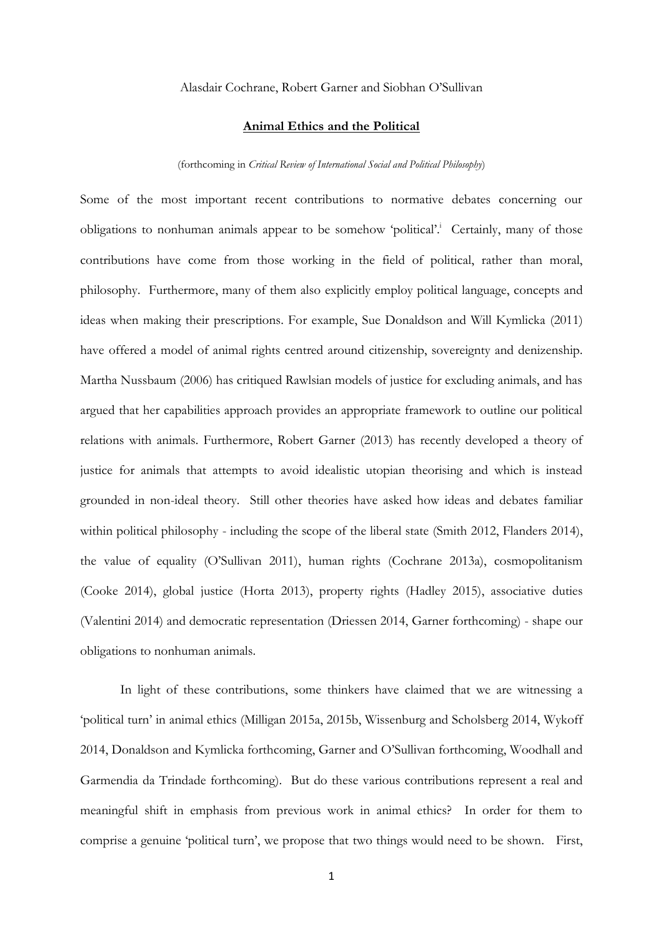### Alasdair Cochrane, Robert Garner and Siobhan O'Sullivan

### **Animal Ethics and the Political**

## (forthcoming in *Critical Review of International Social and Political Philosophy*)

Some of the most important recent contributions to normative debates concerning our obligations to nonhuman animals appear to be somehow 'political'.<sup>i</sup> Certainly, many of those contributions have come from those working in the field of political, rather than moral, philosophy. Furthermore, many of them also explicitly employ political language, concepts and ideas when making their prescriptions. For example, Sue Donaldson and Will Kymlicka (2011) have offered a model of animal rights centred around citizenship, sovereignty and denizenship. Martha Nussbaum (2006) has critiqued Rawlsian models of justice for excluding animals, and has argued that her capabilities approach provides an appropriate framework to outline our political relations with animals. Furthermore, Robert Garner (2013) has recently developed a theory of justice for animals that attempts to avoid idealistic utopian theorising and which is instead grounded in non-ideal theory. Still other theories have asked how ideas and debates familiar within political philosophy - including the scope of the liberal state (Smith 2012, Flanders 2014), the value of equality (O'Sullivan 2011), human rights (Cochrane 2013a), cosmopolitanism (Cooke 2014), global justice (Horta 2013), property rights (Hadley 2015), associative duties (Valentini 2014) and democratic representation (Driessen 2014, Garner forthcoming) - shape our obligations to nonhuman animals.

In light of these contributions, some thinkers have claimed that we are witnessing a 'political turn' in animal ethics (Milligan 2015a, 2015b, Wissenburg and Scholsberg 2014, Wykoff 2014, Donaldson and Kymlicka forthcoming, Garner and O'Sullivan forthcoming, Woodhall and Garmendia da Trindade forthcoming). But do these various contributions represent a real and meaningful shift in emphasis from previous work in animal ethics? In order for them to comprise a genuine 'political turn', we propose that two things would need to be shown. First,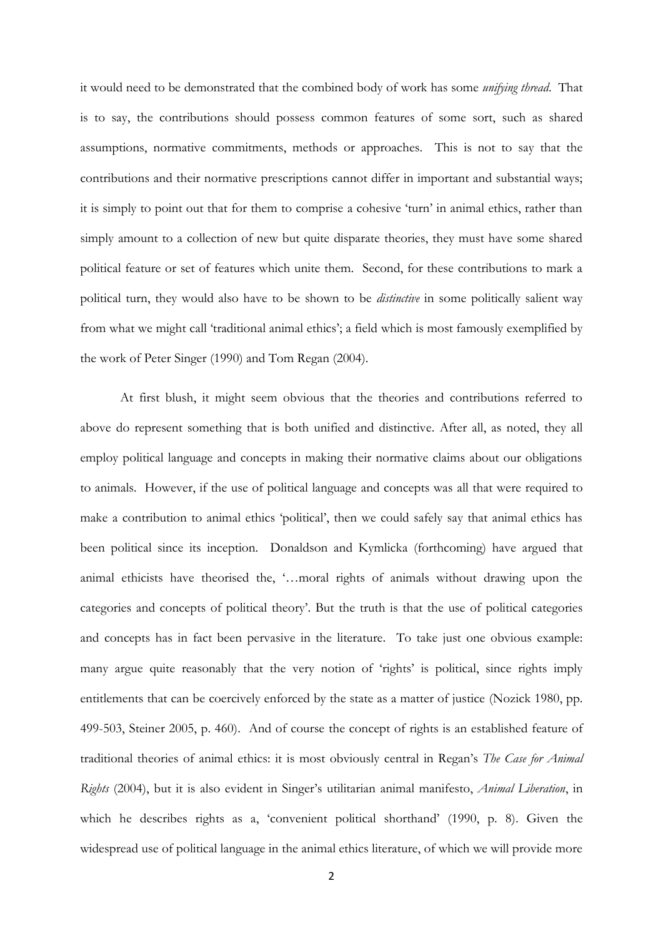it would need to be demonstrated that the combined body of work has some *unifying thread*. That is to say, the contributions should possess common features of some sort, such as shared assumptions, normative commitments, methods or approaches. This is not to say that the contributions and their normative prescriptions cannot differ in important and substantial ways; it is simply to point out that for them to comprise a cohesive 'turn' in animal ethics, rather than simply amount to a collection of new but quite disparate theories, they must have some shared political feature or set of features which unite them. Second, for these contributions to mark a political turn, they would also have to be shown to be *distinctive* in some politically salient way from what we might call 'traditional animal ethics'; a field which is most famously exemplified by the work of Peter Singer (1990) and Tom Regan (2004).

At first blush, it might seem obvious that the theories and contributions referred to above do represent something that is both unified and distinctive. After all, as noted, they all employ political language and concepts in making their normative claims about our obligations to animals. However, if the use of political language and concepts was all that were required to make a contribution to animal ethics 'political', then we could safely say that animal ethics has been political since its inception. Donaldson and Kymlicka (forthcoming) have argued that animal ethicists have theorised the, '…moral rights of animals without drawing upon the categories and concepts of political theory'. But the truth is that the use of political categories and concepts has in fact been pervasive in the literature. To take just one obvious example: many argue quite reasonably that the very notion of 'rights' is political, since rights imply entitlements that can be coercively enforced by the state as a matter of justice (Nozick 1980, pp. 499-503, Steiner 2005, p. 460). And of course the concept of rights is an established feature of traditional theories of animal ethics: it is most obviously central in Regan's *The Case for Animal Rights* (2004), but it is also evident in Singer's utilitarian animal manifesto, *Animal Liberation*, in which he describes rights as a, 'convenient political shorthand' (1990, p. 8). Given the widespread use of political language in the animal ethics literature, of which we will provide more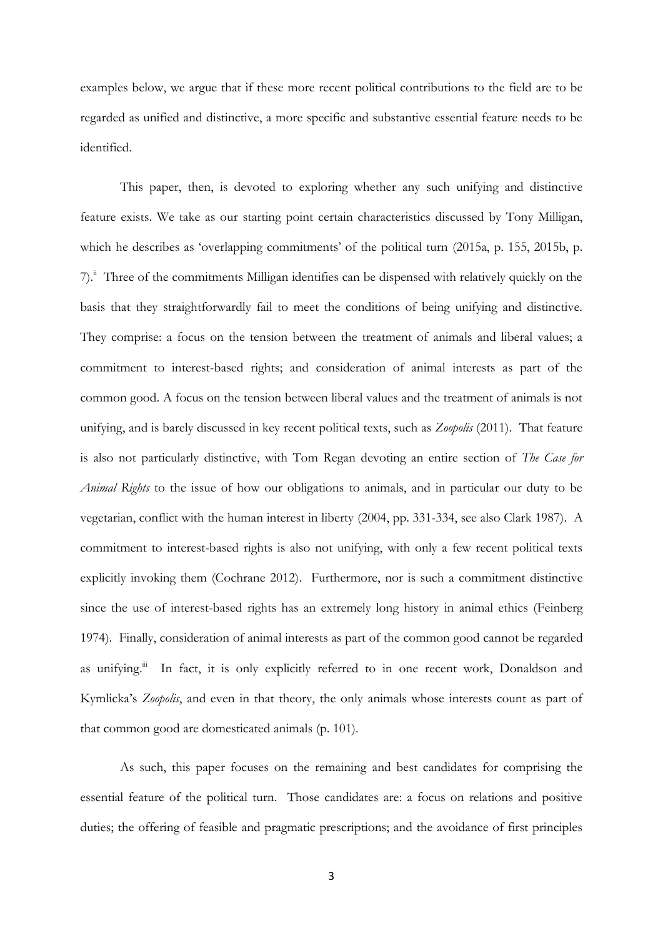examples below, we argue that if these more recent political contributions to the field are to be regarded as unified and distinctive, a more specific and substantive essential feature needs to be identified.

This paper, then, is devoted to exploring whether any such unifying and distinctive feature exists. We take as our starting point certain characteristics discussed by Tony Milligan, which he describes as 'overlapping commitments' of the political turn (2015a, p. 155, 2015b, p. 7).<sup>"</sup> Three of the commitments Milligan identifies can be dispensed with relatively quickly on the basis that they straightforwardly fail to meet the conditions of being unifying and distinctive. They comprise: a focus on the tension between the treatment of animals and liberal values; a commitment to interest-based rights; and consideration of animal interests as part of the common good. A focus on the tension between liberal values and the treatment of animals is not unifying, and is barely discussed in key recent political texts, such as *Zoopolis* (2011). That feature is also not particularly distinctive, with Tom Regan devoting an entire section of *The Case for Animal Rights* to the issue of how our obligations to animals, and in particular our duty to be vegetarian, conflict with the human interest in liberty (2004, pp. 331-334, see also Clark 1987). A commitment to interest-based rights is also not unifying, with only a few recent political texts explicitly invoking them (Cochrane 2012). Furthermore, nor is such a commitment distinctive since the use of interest-based rights has an extremely long history in animal ethics (Feinberg 1974). Finally, consideration of animal interests as part of the common good cannot be regarded as unifying.<sup>iii</sup> In fact, it is only explicitly referred to in one recent work, Donaldson and Kymlicka's *Zoopolis*, and even in that theory, the only animals whose interests count as part of that common good are domesticated animals (p. 101).

As such, this paper focuses on the remaining and best candidates for comprising the essential feature of the political turn. Those candidates are: a focus on relations and positive duties; the offering of feasible and pragmatic prescriptions; and the avoidance of first principles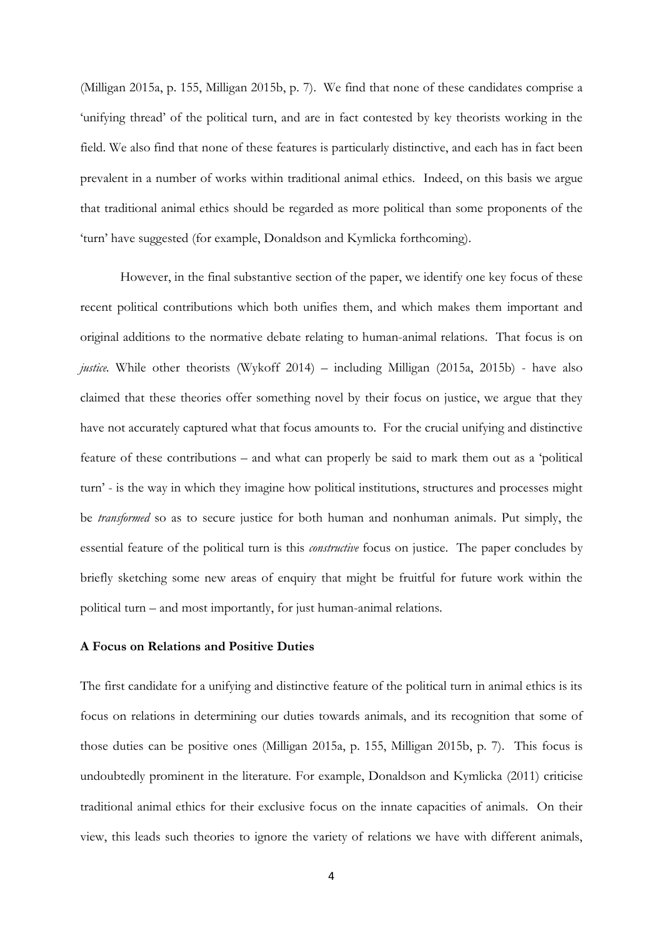(Milligan 2015a, p. 155, Milligan 2015b, p. 7). We find that none of these candidates comprise a 'unifying thread' of the political turn, and are in fact contested by key theorists working in the field. We also find that none of these features is particularly distinctive, and each has in fact been prevalent in a number of works within traditional animal ethics. Indeed, on this basis we argue that traditional animal ethics should be regarded as more political than some proponents of the 'turn' have suggested (for example, Donaldson and Kymlicka forthcoming).

However, in the final substantive section of the paper, we identify one key focus of these recent political contributions which both unifies them, and which makes them important and original additions to the normative debate relating to human-animal relations. That focus is on *justice.* While other theorists (Wykoff 2014) – including Milligan (2015a, 2015b) - have also claimed that these theories offer something novel by their focus on justice, we argue that they have not accurately captured what that focus amounts to. For the crucial unifying and distinctive feature of these contributions – and what can properly be said to mark them out as a 'political turn' - is the way in which they imagine how political institutions, structures and processes might be *transformed* so as to secure justice for both human and nonhuman animals. Put simply, the essential feature of the political turn is this *constructive* focus on justice. The paper concludes by briefly sketching some new areas of enquiry that might be fruitful for future work within the political turn – and most importantly, for just human-animal relations.

# **A Focus on Relations and Positive Duties**

The first candidate for a unifying and distinctive feature of the political turn in animal ethics is its focus on relations in determining our duties towards animals, and its recognition that some of those duties can be positive ones (Milligan 2015a, p. 155, Milligan 2015b, p. 7). This focus is undoubtedly prominent in the literature. For example, Donaldson and Kymlicka (2011) criticise traditional animal ethics for their exclusive focus on the innate capacities of animals. On their view, this leads such theories to ignore the variety of relations we have with different animals,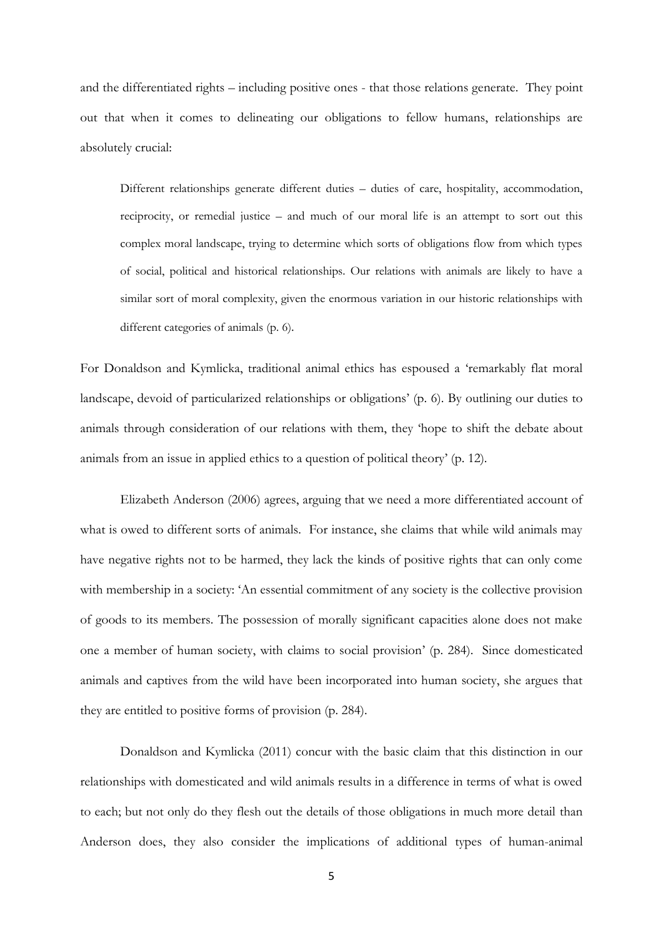and the differentiated rights – including positive ones - that those relations generate. They point out that when it comes to delineating our obligations to fellow humans, relationships are absolutely crucial:

Different relationships generate different duties – duties of care, hospitality, accommodation, reciprocity, or remedial justice – and much of our moral life is an attempt to sort out this complex moral landscape, trying to determine which sorts of obligations flow from which types of social, political and historical relationships. Our relations with animals are likely to have a similar sort of moral complexity, given the enormous variation in our historic relationships with different categories of animals (p. 6).

For Donaldson and Kymlicka, traditional animal ethics has espoused a 'remarkably flat moral landscape, devoid of particularized relationships or obligations' (p. 6). By outlining our duties to animals through consideration of our relations with them, they 'hope to shift the debate about animals from an issue in applied ethics to a question of political theory' (p. 12).

 Elizabeth Anderson (2006) agrees, arguing that we need a more differentiated account of what is owed to different sorts of animals. For instance, she claims that while wild animals may have negative rights not to be harmed, they lack the kinds of positive rights that can only come with membership in a society: 'An essential commitment of any society is the collective provision of goods to its members. The possession of morally significant capacities alone does not make one a member of human society, with claims to social provision' (p. 284). Since domesticated animals and captives from the wild have been incorporated into human society, she argues that they are entitled to positive forms of provision (p. 284).

 Donaldson and Kymlicka (2011) concur with the basic claim that this distinction in our relationships with domesticated and wild animals results in a difference in terms of what is owed to each; but not only do they flesh out the details of those obligations in much more detail than Anderson does, they also consider the implications of additional types of human-animal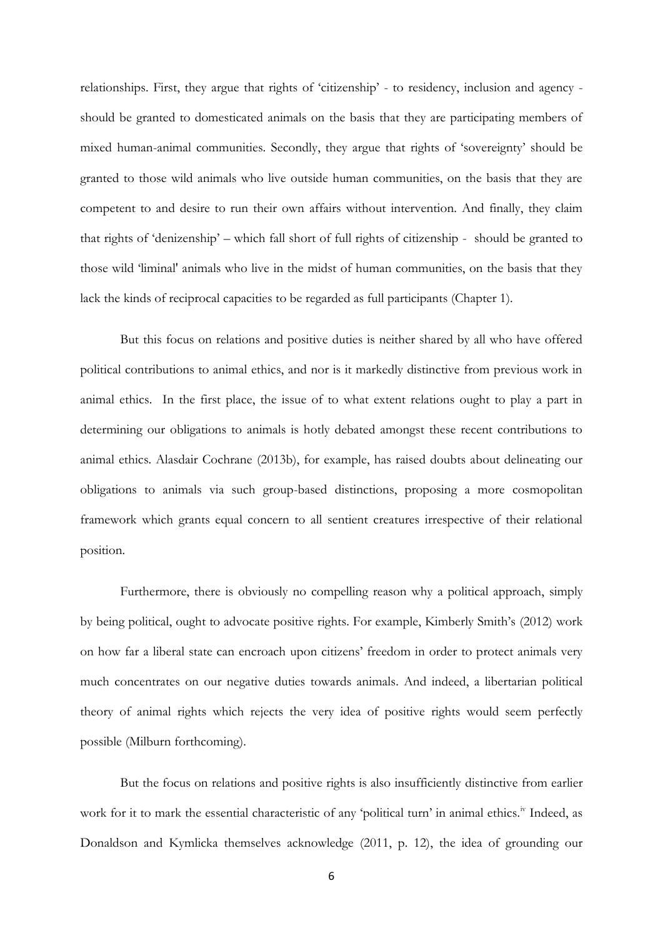relationships. First, they argue that rights of 'citizenship' - to residency, inclusion and agency should be granted to domesticated animals on the basis that they are participating members of mixed human-animal communities. Secondly, they argue that rights of 'sovereignty' should be granted to those wild animals who live outside human communities, on the basis that they are competent to and desire to run their own affairs without intervention. And finally, they claim that rights of 'denizenship' – which fall short of full rights of citizenship - should be granted to those wild 'liminal' animals who live in the midst of human communities, on the basis that they lack the kinds of reciprocal capacities to be regarded as full participants (Chapter 1).

But this focus on relations and positive duties is neither shared by all who have offered political contributions to animal ethics, and nor is it markedly distinctive from previous work in animal ethics. In the first place, the issue of to what extent relations ought to play a part in determining our obligations to animals is hotly debated amongst these recent contributions to animal ethics. Alasdair Cochrane (2013b), for example, has raised doubts about delineating our obligations to animals via such group-based distinctions, proposing a more cosmopolitan framework which grants equal concern to all sentient creatures irrespective of their relational position.

Furthermore, there is obviously no compelling reason why a political approach, simply by being political, ought to advocate positive rights. For example, Kimberly Smith's (2012) work on how far a liberal state can encroach upon citizens' freedom in order to protect animals very much concentrates on our negative duties towards animals. And indeed, a libertarian political theory of animal rights which rejects the very idea of positive rights would seem perfectly possible (Milburn forthcoming).

But the focus on relations and positive rights is also insufficiently distinctive from earlier work for it to mark the essential characteristic of any 'political turn' in animal ethics.<sup>iv</sup> Indeed, as Donaldson and Kymlicka themselves acknowledge (2011, p. 12), the idea of grounding our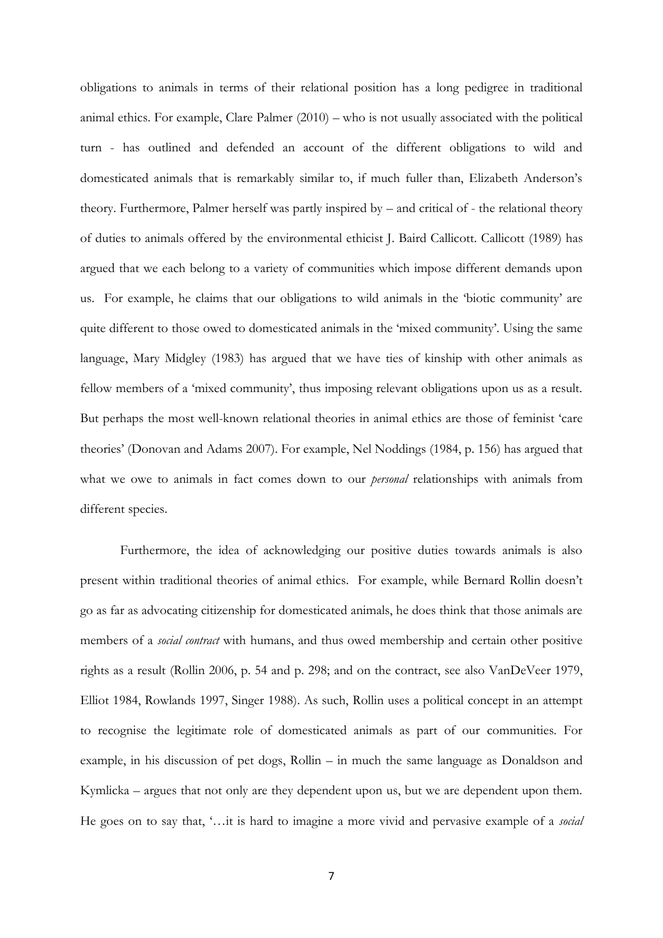obligations to animals in terms of their relational position has a long pedigree in traditional animal ethics. For example, Clare Palmer (2010) – who is not usually associated with the political turn - has outlined and defended an account of the different obligations to wild and domesticated animals that is remarkably similar to, if much fuller than, Elizabeth Anderson's theory. Furthermore, Palmer herself was partly inspired by – and critical of - the relational theory of duties to animals offered by the environmental ethicist J. Baird Callicott. Callicott (1989) has argued that we each belong to a variety of communities which impose different demands upon us. For example, he claims that our obligations to wild animals in the 'biotic community' are quite different to those owed to domesticated animals in the 'mixed community'. Using the same language, Mary Midgley (1983) has argued that we have ties of kinship with other animals as fellow members of a 'mixed community', thus imposing relevant obligations upon us as a result. But perhaps the most well-known relational theories in animal ethics are those of feminist 'care theories' (Donovan and Adams 2007). For example, Nel Noddings (1984, p. 156) has argued that what we owe to animals in fact comes down to our *personal* relationships with animals from different species.

Furthermore, the idea of acknowledging our positive duties towards animals is also present within traditional theories of animal ethics. For example, while Bernard Rollin doesn't go as far as advocating citizenship for domesticated animals, he does think that those animals are members of a *social contract* with humans, and thus owed membership and certain other positive rights as a result (Rollin 2006, p. 54 and p. 298; and on the contract, see also VanDeVeer 1979, Elliot 1984, Rowlands 1997, Singer 1988). As such, Rollin uses a political concept in an attempt to recognise the legitimate role of domesticated animals as part of our communities. For example, in his discussion of pet dogs, Rollin – in much the same language as Donaldson and Kymlicka – argues that not only are they dependent upon us, but we are dependent upon them. He goes on to say that, '…it is hard to imagine a more vivid and pervasive example of a *social*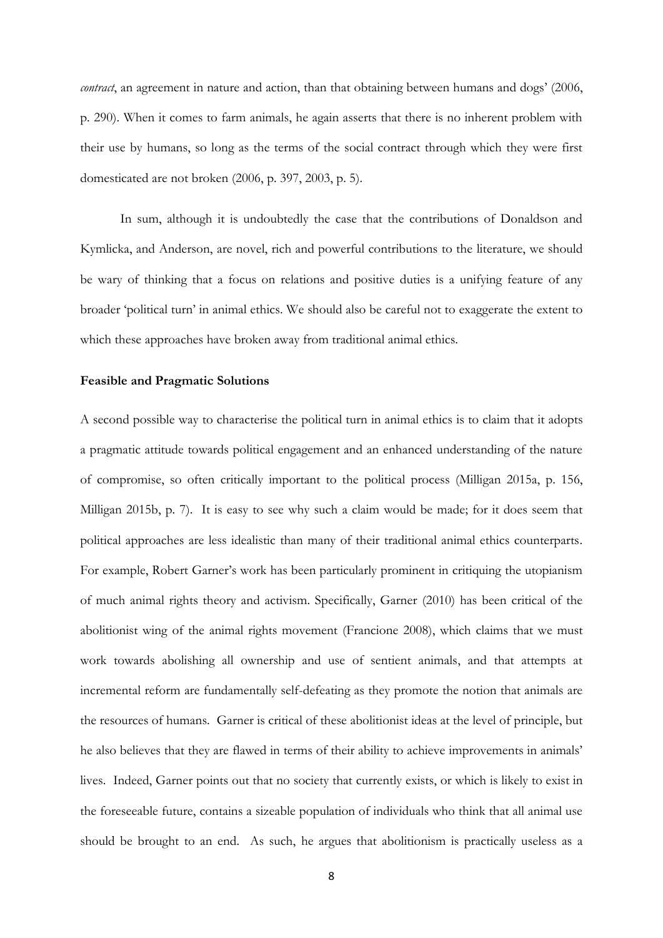*contract*, an agreement in nature and action, than that obtaining between humans and dogs' (2006, p. 290). When it comes to farm animals, he again asserts that there is no inherent problem with their use by humans, so long as the terms of the social contract through which they were first domesticated are not broken (2006, p. 397, 2003, p. 5).

In sum, although it is undoubtedly the case that the contributions of Donaldson and Kymlicka, and Anderson, are novel, rich and powerful contributions to the literature, we should be wary of thinking that a focus on relations and positive duties is a unifying feature of any broader 'political turn' in animal ethics. We should also be careful not to exaggerate the extent to which these approaches have broken away from traditional animal ethics.

# **Feasible and Pragmatic Solutions**

A second possible way to characterise the political turn in animal ethics is to claim that it adopts a pragmatic attitude towards political engagement and an enhanced understanding of the nature of compromise, so often critically important to the political process (Milligan 2015a, p. 156, Milligan 2015b, p. 7). It is easy to see why such a claim would be made; for it does seem that political approaches are less idealistic than many of their traditional animal ethics counterparts. For example, Robert Garner's work has been particularly prominent in critiquing the utopianism of much animal rights theory and activism. Specifically, Garner (2010) has been critical of the abolitionist wing of the animal rights movement (Francione 2008), which claims that we must work towards abolishing all ownership and use of sentient animals, and that attempts at incremental reform are fundamentally self-defeating as they promote the notion that animals are the resources of humans. Garner is critical of these abolitionist ideas at the level of principle, but he also believes that they are flawed in terms of their ability to achieve improvements in animals' lives. Indeed, Garner points out that no society that currently exists, or which is likely to exist in the foreseeable future, contains a sizeable population of individuals who think that all animal use should be brought to an end. As such, he argues that abolitionism is practically useless as a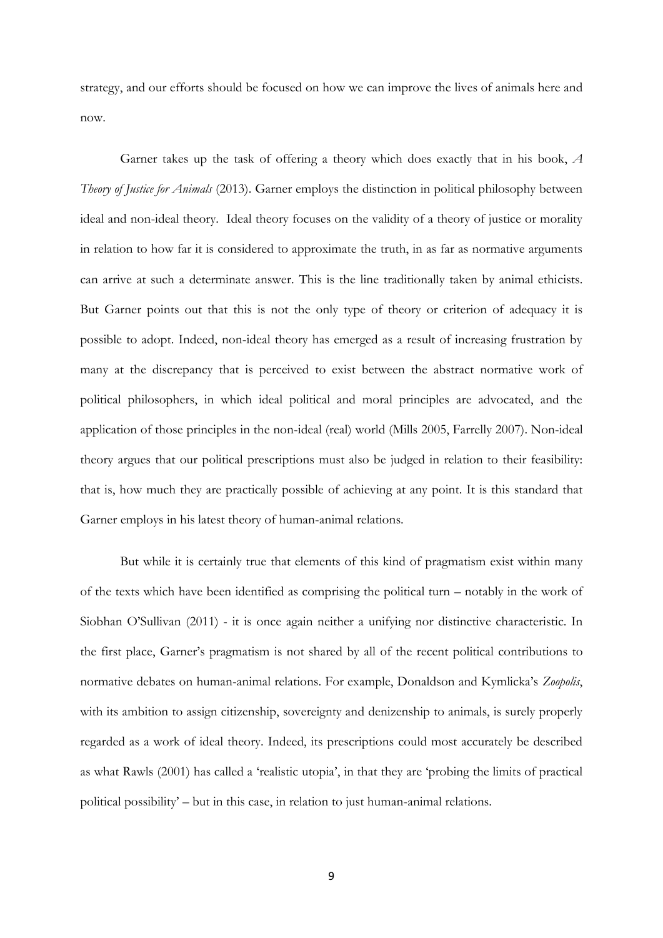strategy, and our efforts should be focused on how we can improve the lives of animals here and now.

Garner takes up the task of offering a theory which does exactly that in his book, *A Theory of Justice for Animals* (2013). Garner employs the distinction in political philosophy between ideal and non-ideal theory. Ideal theory focuses on the validity of a theory of justice or morality in relation to how far it is considered to approximate the truth, in as far as normative arguments can arrive at such a determinate answer. This is the line traditionally taken by animal ethicists. But Garner points out that this is not the only type of theory or criterion of adequacy it is possible to adopt. Indeed, non-ideal theory has emerged as a result of increasing frustration by many at the discrepancy that is perceived to exist between the abstract normative work of political philosophers, in which ideal political and moral principles are advocated, and the application of those principles in the non-ideal (real) world (Mills 2005, Farrelly 2007). Non-ideal theory argues that our political prescriptions must also be judged in relation to their feasibility: that is, how much they are practically possible of achieving at any point. It is this standard that Garner employs in his latest theory of human-animal relations.

But while it is certainly true that elements of this kind of pragmatism exist within many of the texts which have been identified as comprising the political turn – notably in the work of Siobhan O'Sullivan (2011) - it is once again neither a unifying nor distinctive characteristic. In the first place, Garner's pragmatism is not shared by all of the recent political contributions to normative debates on human-animal relations. For example, Donaldson and Kymlicka's *Zoopolis*, with its ambition to assign citizenship, sovereignty and denizenship to animals, is surely properly regarded as a work of ideal theory. Indeed, its prescriptions could most accurately be described as what Rawls (2001) has called a 'realistic utopia', in that they are 'probing the limits of practical political possibility' – but in this case, in relation to just human-animal relations.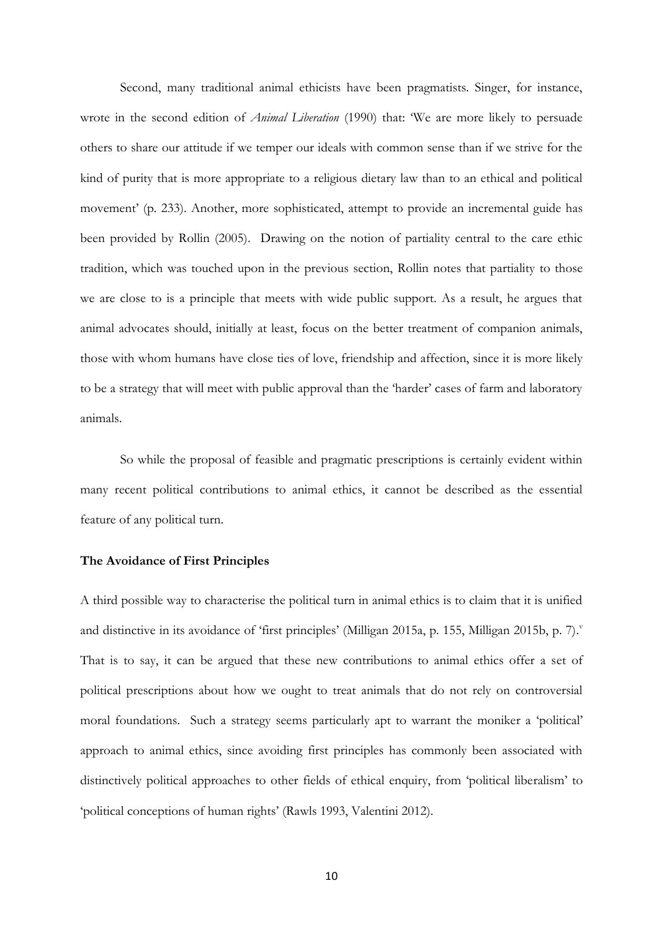Second, many traditional animal ethicists have been pragmatists. Singer, for instance, wrote in the second edition of *Animal Liberation* (1990) that: 'We are more likely to persuade others to share our attitude if we temper our ideals with common sense than if we strive for the kind of purity that is more appropriate to a religious dietary law than to an ethical and political movement' (p. 233). Another, more sophisticated, attempt to provide an incremental guide has been provided by Rollin (2005). Drawing on the notion of partiality central to the care ethic tradition, which was touched upon in the previous section, Rollin notes that partiality to those we are close to is a principle that meets with wide public support. As a result, he argues that animal advocates should, initially at least, focus on the better treatment of companion animals, those with whom humans have close ties of love, friendship and affection, since it is more likely to be a strategy that will meet with public approval than the 'harder' cases of farm and laboratory animals.

So while the proposal of feasible and pragmatic prescriptions is certainly evident within many recent political contributions to animal ethics, it cannot be described as the essential feature of any political turn.

#### **The Avoidance of First Principles**

A third possible way to characterise the political turn in animal ethics is to claim that it is unified and distinctive in its avoidance of 'first principles' (Milligan 2015a, p. 155, Milligan 2015b, p. 7).<sup>v</sup> That is to say, it can be argued that these new contributions to animal ethics offer a set of political prescriptions about how we ought to treat animals that do not rely on controversial moral foundations. Such a strategy seems particularly apt to warrant the moniker a 'political' approach to animal ethics, since avoiding first principles has commonly been associated with distinctively political approaches to other fields of ethical enquiry, from 'political liberalism' to 'political conceptions of human rights' (Rawls 1993, Valentini 2012).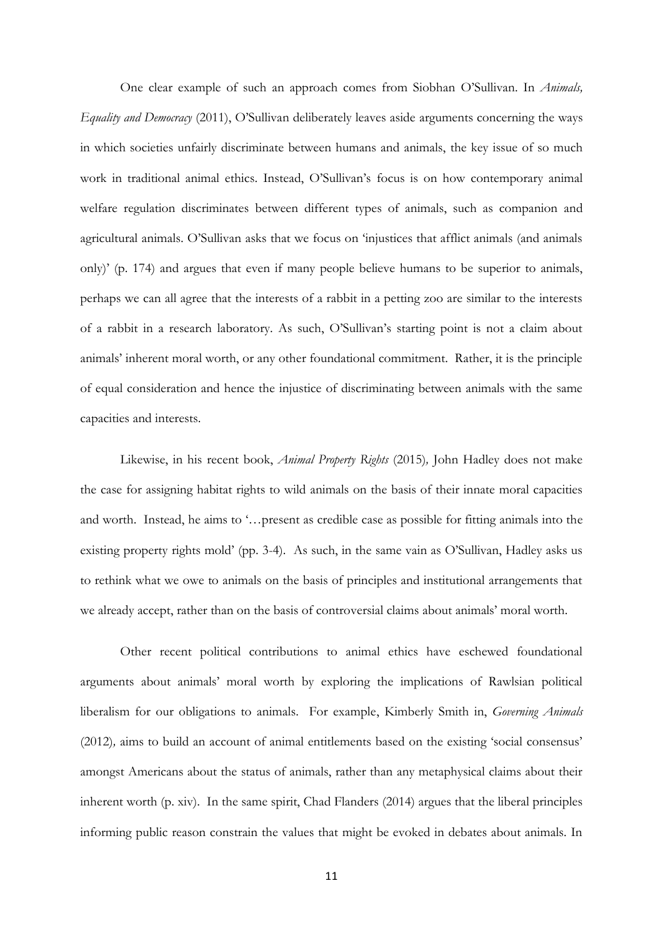One clear example of such an approach comes from Siobhan O'Sullivan. In *Animals, Equality and Democracy* (2011), O'Sullivan deliberately leaves aside arguments concerning the ways in which societies unfairly discriminate between humans and animals, the key issue of so much work in traditional animal ethics. Instead, O'Sullivan's focus is on how contemporary animal welfare regulation discriminates between different types of animals, such as companion and agricultural animals. O'Sullivan asks that we focus on 'injustices that afflict animals (and animals only)' (p. 174) and argues that even if many people believe humans to be superior to animals, perhaps we can all agree that the interests of a rabbit in a petting zoo are similar to the interests of a rabbit in a research laboratory. As such, O'Sullivan's starting point is not a claim about animals' inherent moral worth, or any other foundational commitment. Rather, it is the principle of equal consideration and hence the injustice of discriminating between animals with the same capacities and interests.

Likewise, in his recent book, *Animal Property Rights* (2015)*,* John Hadley does not make the case for assigning habitat rights to wild animals on the basis of their innate moral capacities and worth. Instead, he aims to '…present as credible case as possible for fitting animals into the existing property rights mold' (pp. 3-4). As such, in the same vain as O'Sullivan, Hadley asks us to rethink what we owe to animals on the basis of principles and institutional arrangements that we already accept, rather than on the basis of controversial claims about animals' moral worth.

Other recent political contributions to animal ethics have eschewed foundational arguments about animals' moral worth by exploring the implications of Rawlsian political liberalism for our obligations to animals. For example, Kimberly Smith in, *Governing Animals* (2012)*,* aims to build an account of animal entitlements based on the existing 'social consensus' amongst Americans about the status of animals, rather than any metaphysical claims about their inherent worth (p. xiv). In the same spirit, Chad Flanders (2014) argues that the liberal principles informing public reason constrain the values that might be evoked in debates about animals. In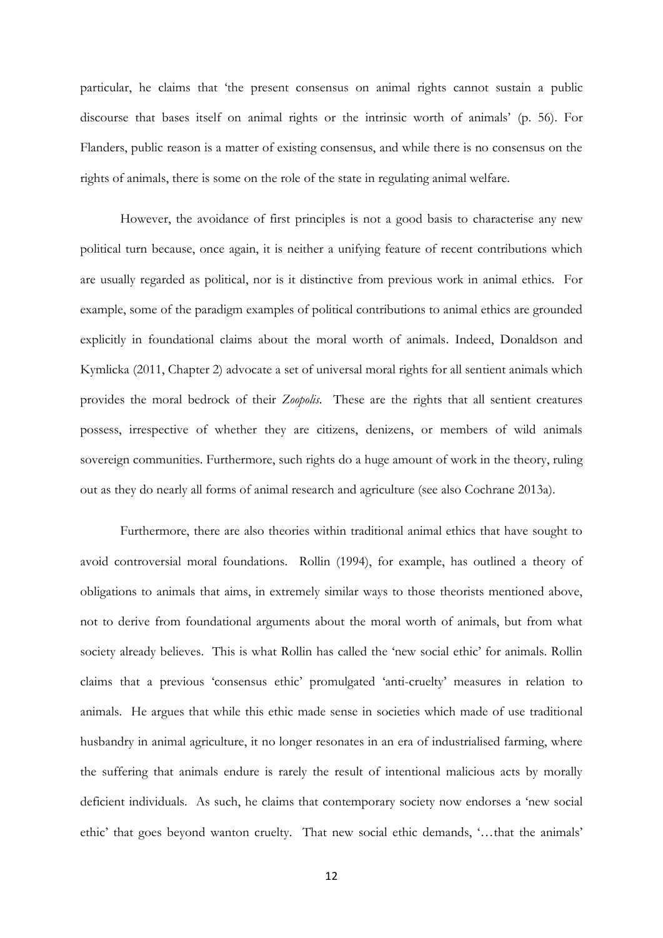particular, he claims that 'the present consensus on animal rights cannot sustain a public discourse that bases itself on animal rights or the intrinsic worth of animals' (p. 56). For Flanders, public reason is a matter of existing consensus, and while there is no consensus on the rights of animals, there is some on the role of the state in regulating animal welfare.

However, the avoidance of first principles is not a good basis to characterise any new political turn because, once again, it is neither a unifying feature of recent contributions which are usually regarded as political, nor is it distinctive from previous work in animal ethics. For example, some of the paradigm examples of political contributions to animal ethics are grounded explicitly in foundational claims about the moral worth of animals. Indeed, Donaldson and Kymlicka (2011, Chapter 2) advocate a set of universal moral rights for all sentient animals which provides the moral bedrock of their *Zoopolis*. These are the rights that all sentient creatures possess, irrespective of whether they are citizens, denizens, or members of wild animals sovereign communities. Furthermore, such rights do a huge amount of work in the theory, ruling out as they do nearly all forms of animal research and agriculture (see also Cochrane 2013a).

Furthermore, there are also theories within traditional animal ethics that have sought to avoid controversial moral foundations. Rollin (1994), for example, has outlined a theory of obligations to animals that aims, in extremely similar ways to those theorists mentioned above, not to derive from foundational arguments about the moral worth of animals, but from what society already believes. This is what Rollin has called the 'new social ethic' for animals. Rollin claims that a previous 'consensus ethic' promulgated 'anti-cruelty' measures in relation to animals. He argues that while this ethic made sense in societies which made of use traditional husbandry in animal agriculture, it no longer resonates in an era of industrialised farming, where the suffering that animals endure is rarely the result of intentional malicious acts by morally deficient individuals. As such, he claims that contemporary society now endorses a 'new social ethic' that goes beyond wanton cruelty. That new social ethic demands, '…that the animals'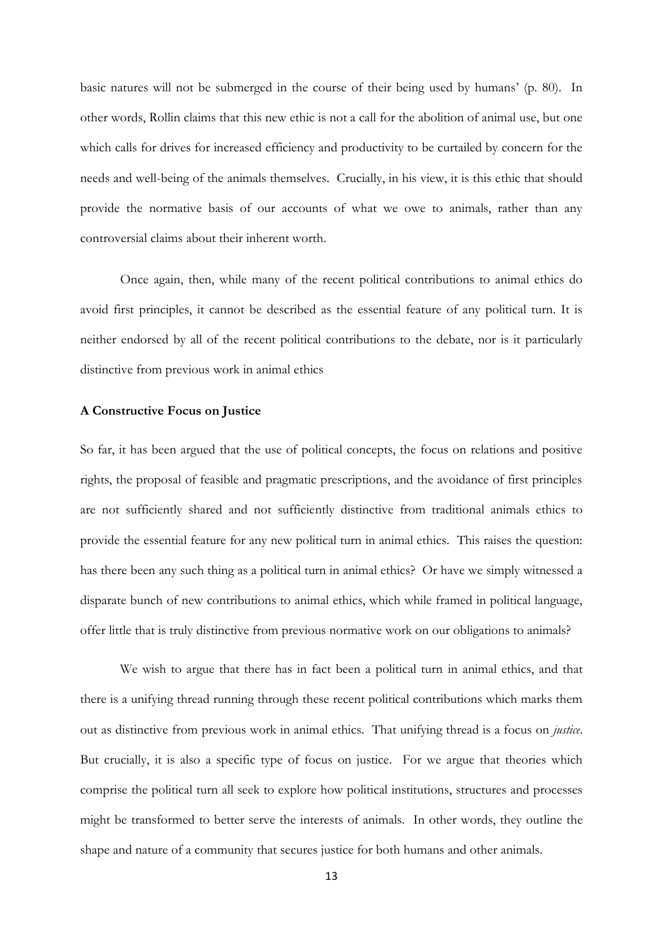basic natures will not be submerged in the course of their being used by humans' (p. 80). In other words, Rollin claims that this new ethic is not a call for the abolition of animal use, but one which calls for drives for increased efficiency and productivity to be curtailed by concern for the needs and well-being of the animals themselves. Crucially, in his view, it is this ethic that should provide the normative basis of our accounts of what we owe to animals, rather than any controversial claims about their inherent worth.

Once again, then, while many of the recent political contributions to animal ethics do avoid first principles, it cannot be described as the essential feature of any political turn. It is neither endorsed by all of the recent political contributions to the debate, nor is it particularly distinctive from previous work in animal ethics

# **A Constructive Focus on Justice**

So far, it has been argued that the use of political concepts, the focus on relations and positive rights, the proposal of feasible and pragmatic prescriptions, and the avoidance of first principles are not sufficiently shared and not sufficiently distinctive from traditional animals ethics to provide the essential feature for any new political turn in animal ethics. This raises the question: has there been any such thing as a political turn in animal ethics? Or have we simply witnessed a disparate bunch of new contributions to animal ethics, which while framed in political language, offer little that is truly distinctive from previous normative work on our obligations to animals?

We wish to argue that there has in fact been a political turn in animal ethics, and that there is a unifying thread running through these recent political contributions which marks them out as distinctive from previous work in animal ethics. That unifying thread is a focus on *justice*. But crucially, it is also a specific type of focus on justice. For we argue that theories which comprise the political turn all seek to explore how political institutions, structures and processes might be transformed to better serve the interests of animals. In other words, they outline the shape and nature of a community that secures justice for both humans and other animals.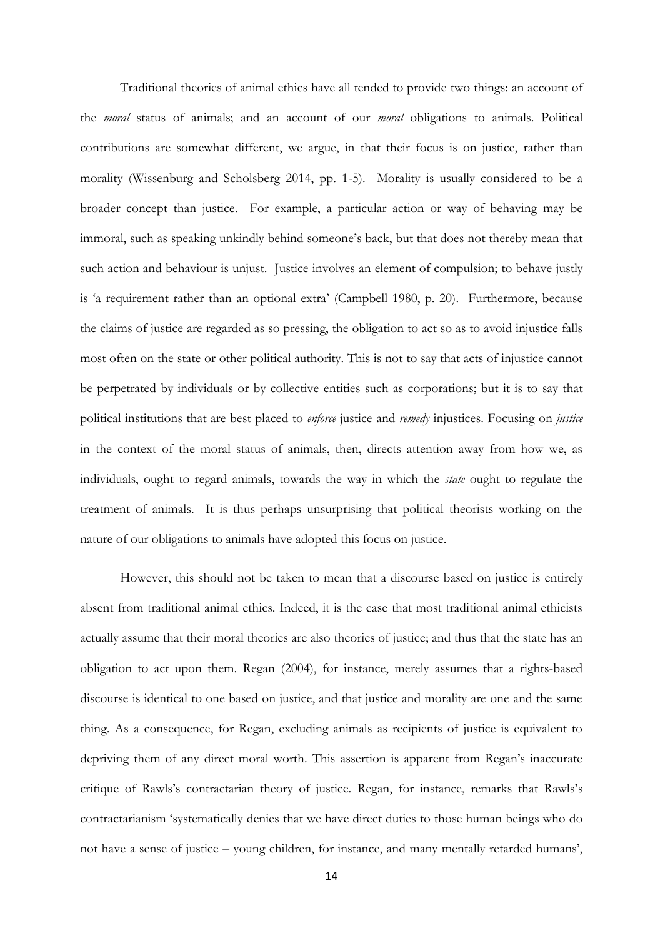Traditional theories of animal ethics have all tended to provide two things: an account of the *moral* status of animals; and an account of our *moral* obligations to animals. Political contributions are somewhat different, we argue, in that their focus is on justice, rather than morality (Wissenburg and Scholsberg 2014, pp. 1-5). Morality is usually considered to be a broader concept than justice. For example, a particular action or way of behaving may be immoral, such as speaking unkindly behind someone's back, but that does not thereby mean that such action and behaviour is unjust. Justice involves an element of compulsion; to behave justly is 'a requirement rather than an optional extra' (Campbell 1980, p. 20). Furthermore, because the claims of justice are regarded as so pressing, the obligation to act so as to avoid injustice falls most often on the state or other political authority. This is not to say that acts of injustice cannot be perpetrated by individuals or by collective entities such as corporations; but it is to say that political institutions that are best placed to *enforce* justice and *remedy* injustices. Focusing on *justice* in the context of the moral status of animals, then, directs attention away from how we, as individuals, ought to regard animals, towards the way in which the *state* ought to regulate the treatment of animals. It is thus perhaps unsurprising that political theorists working on the nature of our obligations to animals have adopted this focus on justice.

However, this should not be taken to mean that a discourse based on justice is entirely absent from traditional animal ethics. Indeed, it is the case that most traditional animal ethicists actually assume that their moral theories are also theories of justice; and thus that the state has an obligation to act upon them. Regan (2004), for instance, merely assumes that a rights-based discourse is identical to one based on justice, and that justice and morality are one and the same thing. As a consequence, for Regan, excluding animals as recipients of justice is equivalent to depriving them of any direct moral worth. This assertion is apparent from Regan's inaccurate critique of Rawls's contractarian theory of justice. Regan, for instance, remarks that Rawls's contractarianism 'systematically denies that we have direct duties to those human beings who do not have a sense of justice – young children, for instance, and many mentally retarded humans',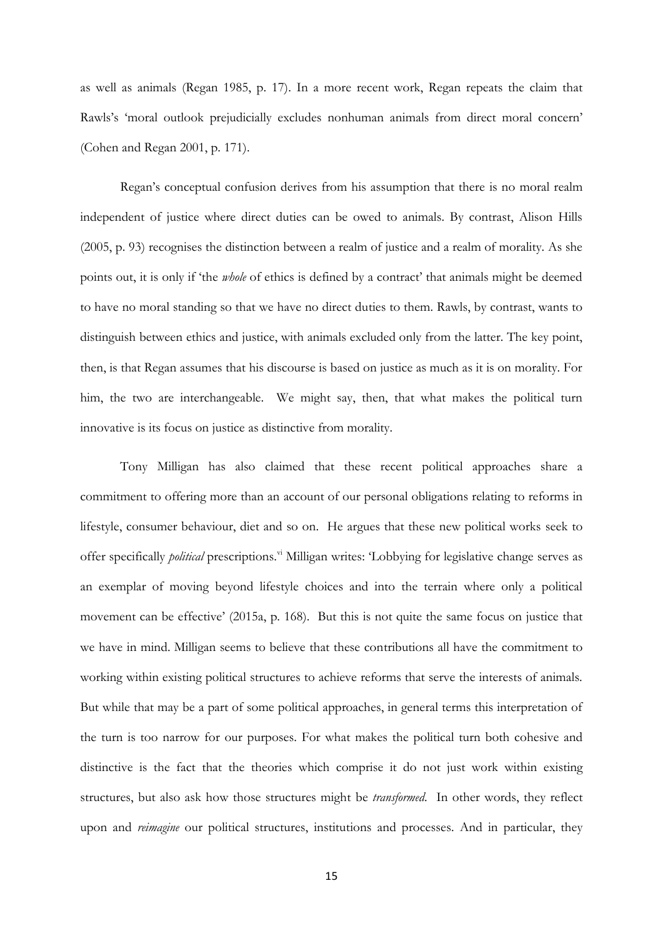as well as animals (Regan 1985, p. 17). In a more recent work, Regan repeats the claim that Rawls's 'moral outlook prejudicially excludes nonhuman animals from direct moral concern' (Cohen and Regan 2001, p. 171).

Regan's conceptual confusion derives from his assumption that there is no moral realm independent of justice where direct duties can be owed to animals. By contrast, Alison Hills (2005, p. 93) recognises the distinction between a realm of justice and a realm of morality. As she points out, it is only if 'the *whole* of ethics is defined by a contract' that animals might be deemed to have no moral standing so that we have no direct duties to them. Rawls, by contrast, wants to distinguish between ethics and justice, with animals excluded only from the latter. The key point, then, is that Regan assumes that his discourse is based on justice as much as it is on morality. For him, the two are interchangeable. We might say, then, that what makes the political turn innovative is its focus on justice as distinctive from morality.

Tony Milligan has also claimed that these recent political approaches share a commitment to offering more than an account of our personal obligations relating to reforms in lifestyle, consumer behaviour, diet and so on. He argues that these new political works seek to offer specifically *political* prescriptions.<sup>vi</sup> Milligan writes: 'Lobbying for legislative change serves as an exemplar of moving beyond lifestyle choices and into the terrain where only a political movement can be effective' (2015a, p. 168). But this is not quite the same focus on justice that we have in mind. Milligan seems to believe that these contributions all have the commitment to working within existing political structures to achieve reforms that serve the interests of animals. But while that may be a part of some political approaches, in general terms this interpretation of the turn is too narrow for our purposes. For what makes the political turn both cohesive and distinctive is the fact that the theories which comprise it do not just work within existing structures, but also ask how those structures might be *transformed*. In other words, they reflect upon and *reimagine* our political structures, institutions and processes. And in particular, they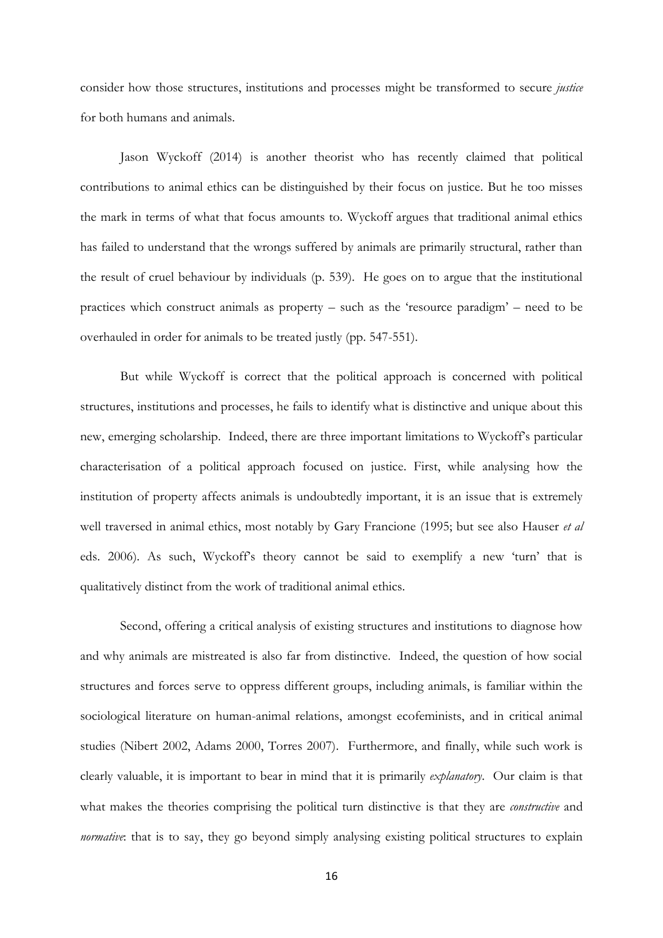consider how those structures, institutions and processes might be transformed to secure *justice*  for both humans and animals.

Jason Wyckoff (2014) is another theorist who has recently claimed that political contributions to animal ethics can be distinguished by their focus on justice. But he too misses the mark in terms of what that focus amounts to. Wyckoff argues that traditional animal ethics has failed to understand that the wrongs suffered by animals are primarily structural, rather than the result of cruel behaviour by individuals (p. 539). He goes on to argue that the institutional practices which construct animals as property – such as the 'resource paradigm' – need to be overhauled in order for animals to be treated justly (pp. 547-551).

But while Wyckoff is correct that the political approach is concerned with political structures, institutions and processes, he fails to identify what is distinctive and unique about this new, emerging scholarship. Indeed, there are three important limitations to Wyckoff's particular characterisation of a political approach focused on justice. First, while analysing how the institution of property affects animals is undoubtedly important, it is an issue that is extremely well traversed in animal ethics, most notably by Gary Francione (1995; but see also Hauser *et al*  eds. 2006). As such, Wyckoff's theory cannot be said to exemplify a new 'turn' that is qualitatively distinct from the work of traditional animal ethics.

Second, offering a critical analysis of existing structures and institutions to diagnose how and why animals are mistreated is also far from distinctive. Indeed, the question of how social structures and forces serve to oppress different groups, including animals, is familiar within the sociological literature on human-animal relations, amongst ecofeminists, and in critical animal studies (Nibert 2002, Adams 2000, Torres 2007). Furthermore, and finally, while such work is clearly valuable, it is important to bear in mind that it is primarily *explanatory*. Our claim is that what makes the theories comprising the political turn distinctive is that they are *constructive* and *normative*: that is to say, they go beyond simply analysing existing political structures to explain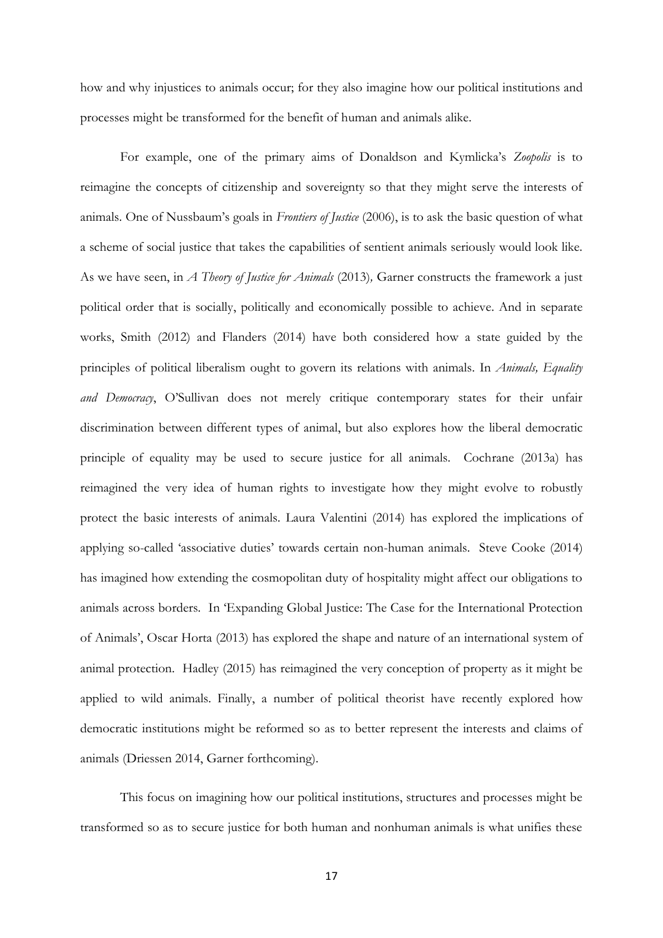how and why injustices to animals occur; for they also imagine how our political institutions and processes might be transformed for the benefit of human and animals alike.

For example, one of the primary aims of Donaldson and Kymlicka's *Zoopolis* is to reimagine the concepts of citizenship and sovereignty so that they might serve the interests of animals. One of Nussbaum's goals in *Frontiers of Justice* (2006), is to ask the basic question of what a scheme of social justice that takes the capabilities of sentient animals seriously would look like. As we have seen, in *A Theory of Justice for Animals* (2013)*,* Garner constructs the framework a just political order that is socially, politically and economically possible to achieve. And in separate works, Smith (2012) and Flanders (2014) have both considered how a state guided by the principles of political liberalism ought to govern its relations with animals. In *Animals, Equality and Democracy*, O'Sullivan does not merely critique contemporary states for their unfair discrimination between different types of animal, but also explores how the liberal democratic principle of equality may be used to secure justice for all animals. Cochrane (2013a) has reimagined the very idea of human rights to investigate how they might evolve to robustly protect the basic interests of animals. Laura Valentini (2014) has explored the implications of applying so-called 'associative duties' towards certain non-human animals. Steve Cooke (2014) has imagined how extending the cosmopolitan duty of hospitality might affect our obligations to animals across borders. In 'Expanding Global Justice: The Case for the International Protection of Animals', Oscar Horta (2013) has explored the shape and nature of an international system of animal protection. Hadley (2015) has reimagined the very conception of property as it might be applied to wild animals. Finally, a number of political theorist have recently explored how democratic institutions might be reformed so as to better represent the interests and claims of animals (Driessen 2014, Garner forthcoming).

This focus on imagining how our political institutions, structures and processes might be transformed so as to secure justice for both human and nonhuman animals is what unifies these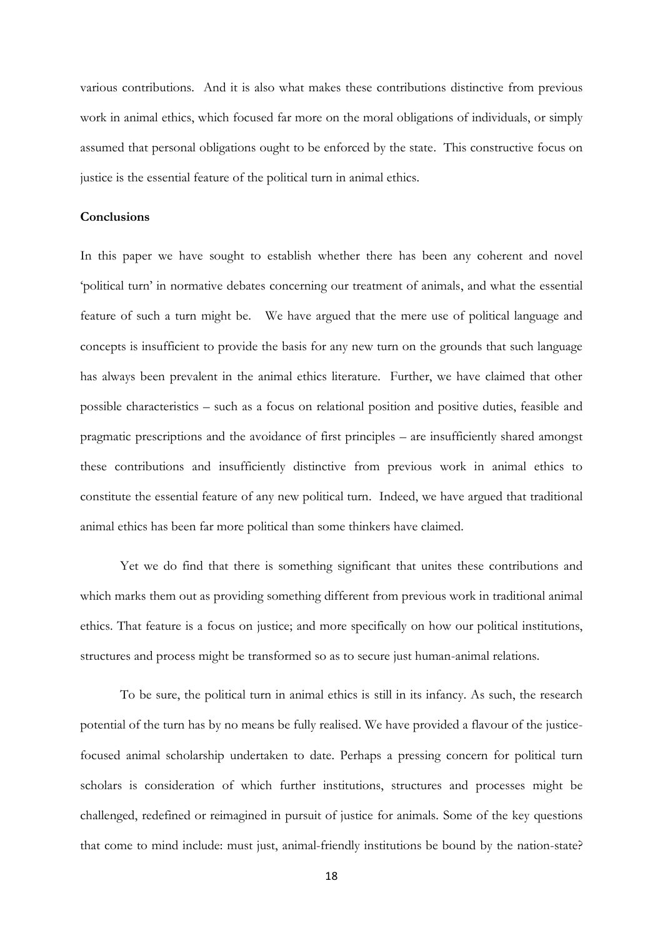various contributions. And it is also what makes these contributions distinctive from previous work in animal ethics, which focused far more on the moral obligations of individuals, or simply assumed that personal obligations ought to be enforced by the state. This constructive focus on justice is the essential feature of the political turn in animal ethics.

# **Conclusions**

In this paper we have sought to establish whether there has been any coherent and novel 'political turn' in normative debates concerning our treatment of animals, and what the essential feature of such a turn might be. We have argued that the mere use of political language and concepts is insufficient to provide the basis for any new turn on the grounds that such language has always been prevalent in the animal ethics literature. Further, we have claimed that other possible characteristics – such as a focus on relational position and positive duties, feasible and pragmatic prescriptions and the avoidance of first principles – are insufficiently shared amongst these contributions and insufficiently distinctive from previous work in animal ethics to constitute the essential feature of any new political turn. Indeed, we have argued that traditional animal ethics has been far more political than some thinkers have claimed.

 Yet we do find that there is something significant that unites these contributions and which marks them out as providing something different from previous work in traditional animal ethics. That feature is a focus on justice; and more specifically on how our political institutions, structures and process might be transformed so as to secure just human-animal relations.

 To be sure, the political turn in animal ethics is still in its infancy. As such, the research potential of the turn has by no means be fully realised. We have provided a flavour of the justicefocused animal scholarship undertaken to date. Perhaps a pressing concern for political turn scholars is consideration of which further institutions, structures and processes might be challenged, redefined or reimagined in pursuit of justice for animals. Some of the key questions that come to mind include: must just, animal-friendly institutions be bound by the nation-state?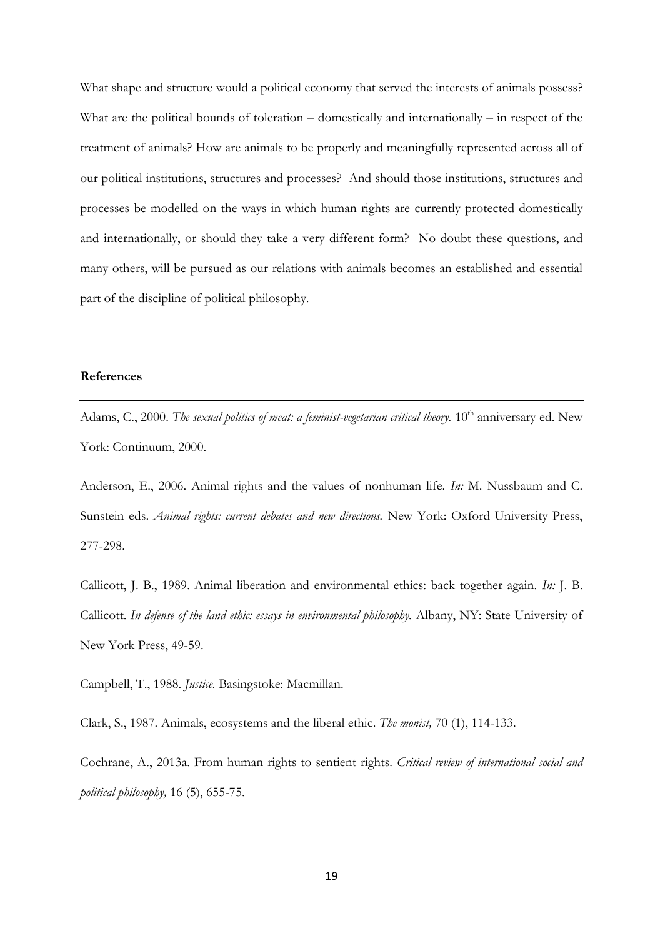What shape and structure would a political economy that served the interests of animals possess? What are the political bounds of toleration – domestically and internationally – in respect of the treatment of animals? How are animals to be properly and meaningfully represented across all of our political institutions, structures and processes? And should those institutions, structures and processes be modelled on the ways in which human rights are currently protected domestically and internationally, or should they take a very different form? No doubt these questions, and many others, will be pursued as our relations with animals becomes an established and essential part of the discipline of political philosophy.

# **References**

Adams, C., 2000. *The sexual politics of meat: a feminist-vegetarian critical theory*.  $10^{th}$  anniversary ed. New York: Continuum, 2000.

Anderson, E., 2006. Animal rights and the values of nonhuman life. *In:* M. Nussbaum and C. Sunstein eds. *Animal rights: current debates and new directions.* New York: Oxford University Press, 277-298.

Callicott, J. B., 1989. Animal liberation and environmental ethics: back together again. *In:* J. B. Callicott. *In defense of the land ethic: essays in environmental philosophy.* Albany, NY: State University of New York Press, 49-59.

Campbell, T., 1988. *Justice.* Basingstoke: Macmillan.

Clark, S., 1987. Animals, ecosystems and the liberal ethic. *The monist,* 70 (1), 114-133.

Cochrane, A., 2013a. From human rights to sentient rights. *Critical review of international social and political philosophy,* 16 (5), 655-75.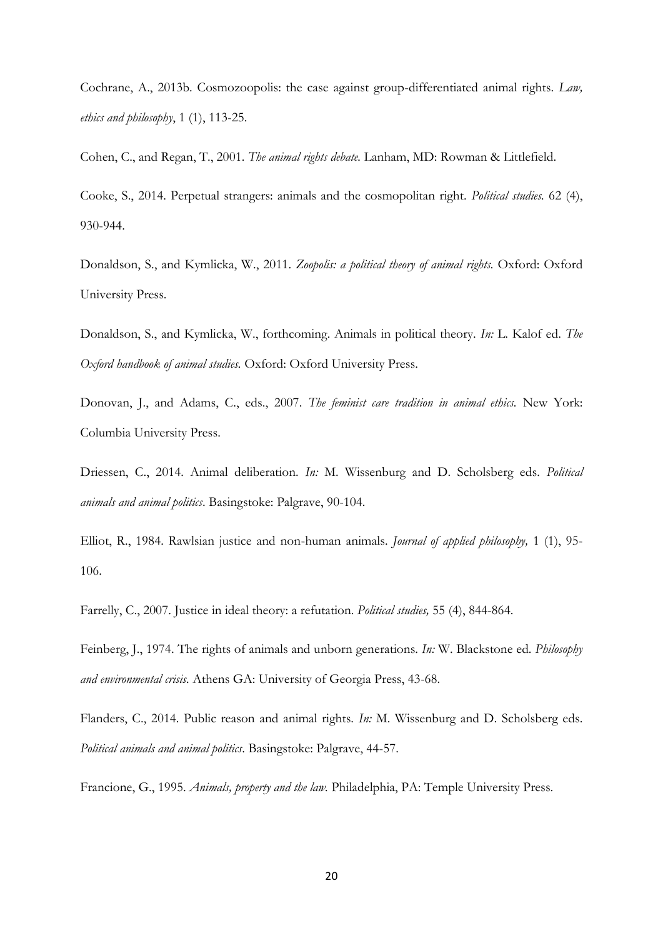Cochrane, A., 2013b. Cosmozoopolis: the case against group-differentiated animal rights. *Law, ethics and philosophy*, 1 (1), 113-25.

Cohen, C., and Regan, T., 2001. *The animal rights debate.* Lanham, MD: Rowman & Littlefield.

Cooke, S., 2014. Perpetual strangers: animals and the cosmopolitan right. *Political studies.* 62 (4), 930-944.

Donaldson, S., and Kymlicka, W., 2011. *Zoopolis: a political theory of animal rights.* Oxford: Oxford University Press.

Donaldson, S., and Kymlicka, W., forthcoming. Animals in political theory. *In:* L. Kalof ed. *The Oxford handbook of animal studies.* Oxford: Oxford University Press.

Donovan, J., and Adams, C., eds., 2007. *The feminist care tradition in animal ethics.* New York: Columbia University Press.

Driessen, C., 2014. Animal deliberation. *In:* M. Wissenburg and D. Scholsberg eds. *Political animals and animal politics*. Basingstoke: Palgrave, 90-104.

Elliot, R., 1984. Rawlsian justice and non-human animals. *Journal of applied philosophy,* 1 (1), 95- 106.

Farrelly, C., 2007. Justice in ideal theory: a refutation. *Political studies,* 55 (4), 844-864.

Feinberg, J., 1974. The rights of animals and unborn generations. *In:* W. Blackstone ed. *Philosophy and environmental crisis.* Athens GA: University of Georgia Press, 43-68.

Flanders, C., 2014. Public reason and animal rights. *In:* M. Wissenburg and D. Scholsberg eds. *Political animals and animal politics*. Basingstoke: Palgrave, 44-57.

Francione, G., 1995. *Animals, property and the law.* Philadelphia, PA: Temple University Press.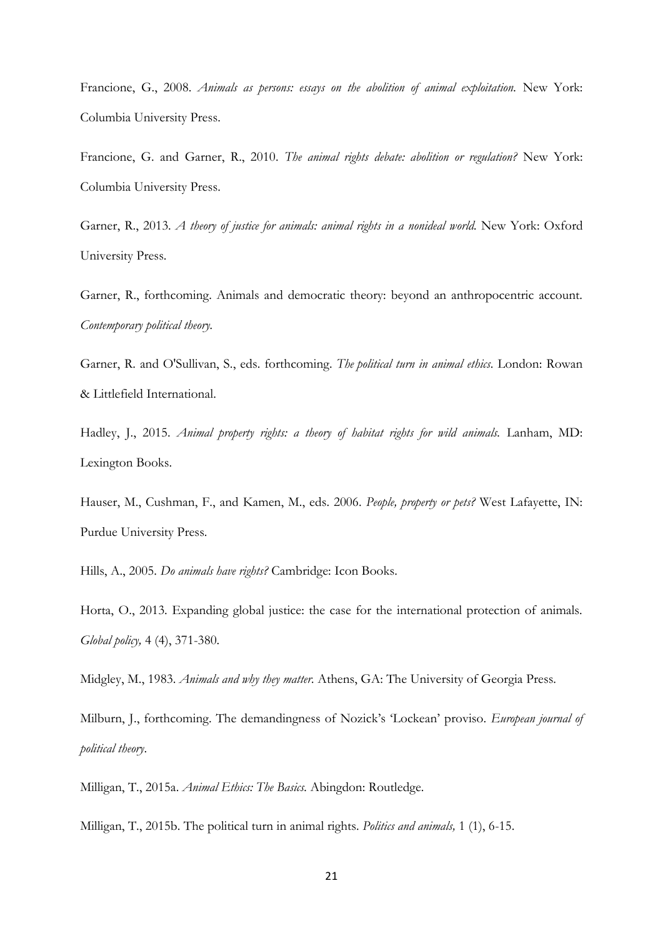Francione, G., 2008. *Animals as persons: essays on the abolition of animal exploitation.* New York: Columbia University Press.

Francione, G. and Garner, R., 2010. *The animal rights debate: abolition or regulation?* New York: Columbia University Press.

Garner, R., 2013. *A theory of justice for animals: animal rights in a nonideal world.* New York: Oxford University Press.

Garner, R., forthcoming. Animals and democratic theory: beyond an anthropocentric account. *Contemporary political theory.* 

Garner, R. and O'Sullivan, S., eds. forthcoming. *The political turn in animal ethics*. London: Rowan & Littlefield International.

Hadley, J., 2015. *Animal property rights: a theory of habitat rights for wild animals.* Lanham, MD: Lexington Books.

Hauser, M., Cushman, F., and Kamen, M., eds. 2006. *People, property or pets?* West Lafayette, IN: Purdue University Press.

Hills, A., 2005. *Do animals have rights?* Cambridge: Icon Books.

Horta, O., 2013. Expanding global justice: the case for the international protection of animals. *Global policy,* 4 (4), 371-380.

Midgley, M., 1983. *Animals and why they matter.* Athens, GA: The University of Georgia Press.

Milburn, J., forthcoming. The demandingness of Nozick's 'Lockean' proviso. *European journal of political theory*.

Milligan, T., 2015a. *Animal Ethics: The Basics.* Abingdon: Routledge.

Milligan, T., 2015b. The political turn in animal rights. *Politics and animals,* 1 (1), 6-15.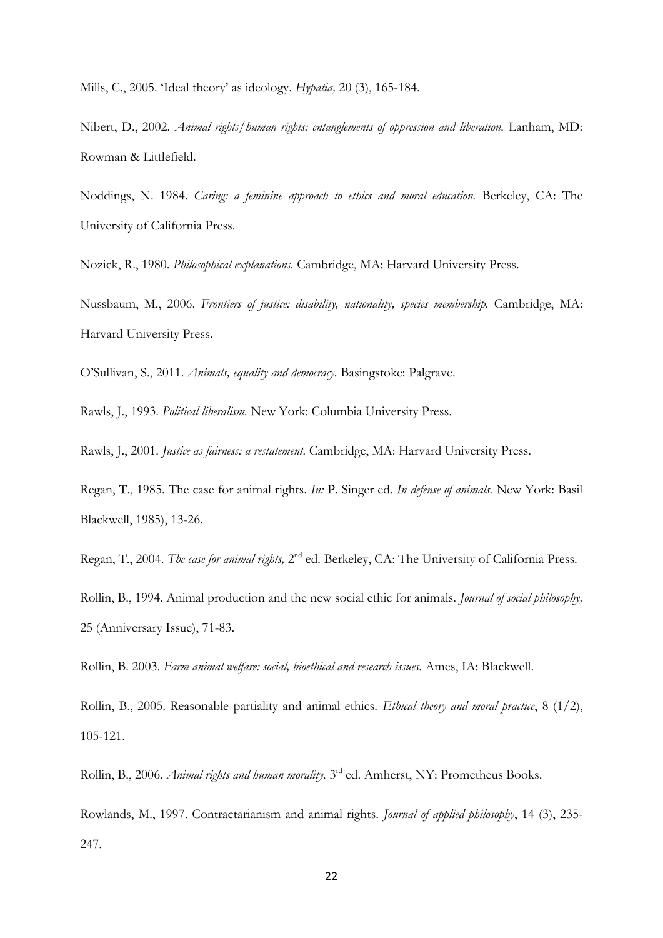Mills, C., 2005. 'Ideal theory' as ideology. *Hypatia,* 20 (3), 165-184.

Nibert, D., 2002. *Animal rights/human rights: entanglements of oppression and liberation.* Lanham, MD: Rowman & Littlefield.

Noddings, N. 1984. *Caring: a feminine approach to ethics and moral education.* Berkeley, CA: The University of California Press.

Nozick, R., 1980. *Philosophical explanations.* Cambridge, MA: Harvard University Press.

Nussbaum, M., 2006. *Frontiers of justice: disability, nationality, species membership.* Cambridge, MA: Harvard University Press.

O'Sullivan, S., 2011. *Animals, equality and democracy.* Basingstoke: Palgrave.

Rawls, J., 1993. *Political liberalism.* New York: Columbia University Press.

Rawls, J., 2001. *Justice as fairness: a restatement.* Cambridge, MA: Harvard University Press.

Regan, T., 1985. The case for animal rights. *In:* P. Singer ed. *In defense of animals.* New York: Basil Blackwell, 1985), 13-26.

Regan, T., 2004. *The case for animal rights*, 2<sup>nd</sup> ed. Berkeley, CA: The University of California Press.

Rollin, B., 1994. Animal production and the new social ethic for animals. *Journal of social philosophy,*  25 (Anniversary Issue), 71-83.

Rollin, B. 2003. *Farm animal welfare: social, bioethical and research issues.* Ames, IA: Blackwell.

Rollin, B., 2005. Reasonable partiality and animal ethics. *Ethical theory and moral practice*, 8 (1/2), 105-121.

Rollin, B., 2006. *Animal rights and human morality*. 3<sup>rd</sup> ed. Amherst, NY: Prometheus Books.

Rowlands, M., 1997. Contractarianism and animal rights. *Journal of applied philosophy*, 14 (3), 235- 247.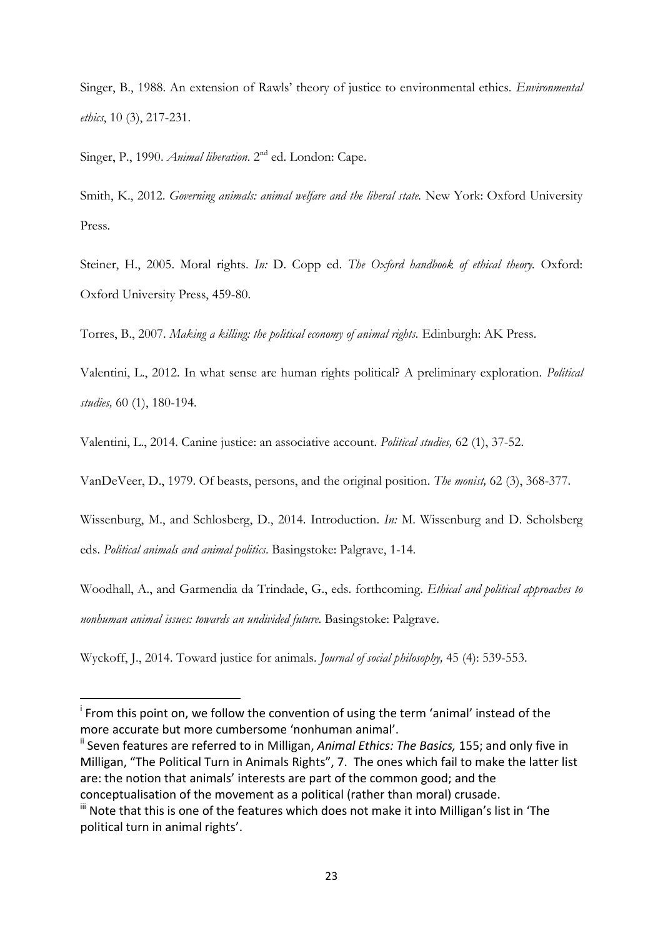Singer, B., 1988. An extension of Rawls' theory of justice to environmental ethics. *Environmental ethics*, 10 (3), 217-231.

Singer, P., 1990. *Animal liberation*. 2nd ed. London: Cape.

Smith, K., 2012. *Governing animals: animal welfare and the liberal state.* New York: Oxford University Press.

Steiner, H., 2005. Moral rights. *In:* D. Copp ed. *The Oxford handbook of ethical theory.* Oxford: Oxford University Press, 459-80.

Torres, B., 2007. *Making a killing: the political economy of animal rights.* Edinburgh: AK Press.

Valentini, L., 2012. In what sense are human rights political? A preliminary exploration. *Political studies,* 60 (1), 180-194.

Valentini, L., 2014. Canine justice: an associative account. *Political studies,* 62 (1), 37-52.

VanDeVeer, D., 1979. Of beasts, persons, and the original position. *The monist,* 62 (3), 368-377.

Wissenburg, M., and Schlosberg, D., 2014. Introduction. *In:* M. Wissenburg and D. Scholsberg eds. *Political animals and animal politics*. Basingstoke: Palgrave, 1-14.

Woodhall, A., and Garmendia da Trindade, G., eds. forthcoming. *Ethical and political approaches to nonhuman animal issues: towards an undivided future*. Basingstoke: Palgrave.

Wyckoff, J., 2014. Toward justice for animals. *Journal of social philosophy,* 45 (4): 539-553.

-

<sup>&</sup>lt;sup>i</sup> From this point on, we follow the convention of using the term 'animal' instead of the more accurate but more cumbersome 'nonhuman animal'.

<sup>&</sup>lt;sup>ii</sup> Seven features are referred to in Milligan, *Animal Ethics: The Basics*, 155; and only five in Milligan, "The Political Turn in Animals Rights", 7. The ones which fail to make the latter list are: the notion that animals' interests are part of the common good; and the conceptualisation of the movement as a political (rather than moral) crusade.

iii Note that this is one of the features which does not make it into Milligan's list in 'The political turn in animal rights'.